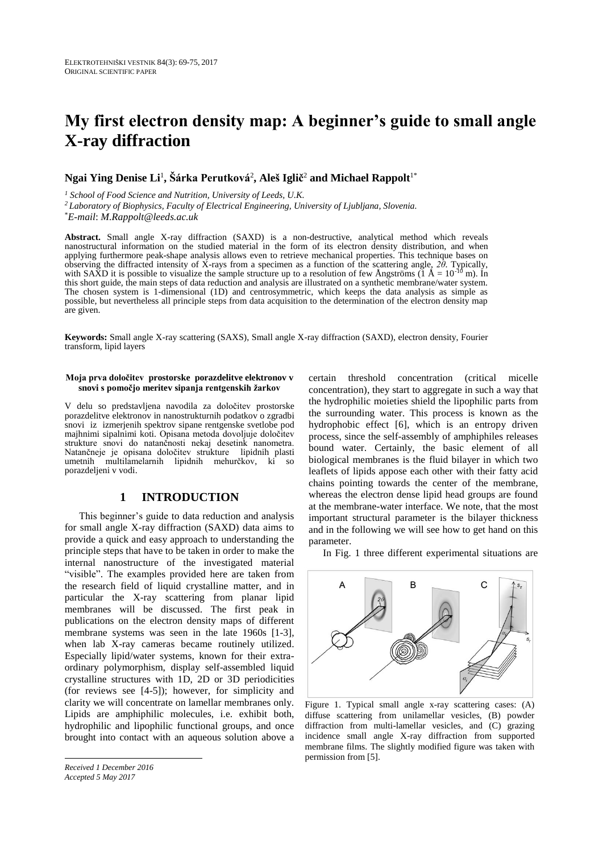# **My first electron density map: A beginner's guide to small angle X-ray diffraction**

### **Ngai Ying Denise Li**<sup>1</sup> **, Šárka Perutková**<sup>2</sup> **, Aleš Iglič** <sup>2</sup> **and Michael Rappolt**1\*

*<sup>1</sup> School of Food Science and Nutrition, University of Leeds, U.K.* 

*<sup>2</sup>Laboratory of Biophysics, Faculty of Electrical Engineering, University of Ljubljana, Slovenia.*

\**E-mail*: *M.Rappolt@leeds.ac.uk*

**Abstract.** Small angle X-ray diffraction (SAXD) is a non-destructive, analytical method which reveals nanostructural information on the studied material in the form of its electron density distribution, and when applying furthermore peak-shape analysis allows even to retrieve mechanical properties. This technique bases on observing the diffracted intensity of X-rays from a specimen as a function of the scattering angle, *2θ*. Typically, with SAXD it is possible to visualize the sample structure up to a resolution of few Angströms  $(1 \text{ Å} = 10^{-16} \text{ m})$ . In this short guide, the main steps of data reduction and analysis are illustrated on a synthetic membrane/water system. The chosen system is 1-dimensional (1D) and centrosymmetric, which keeps the data analysis as simple as possible, but nevertheless all principle steps from data acquisition to the determination of the electron density map are given.

**Keywords:** Small angle X-ray scattering (SAXS), Small angle X-ray diffraction (SAXD), electron density, Fourier transform, lipid layers

#### **Moja prva določitev prostorske porazdelitve elektronov v snovi s pomočjo meritev sipanja rentgenskih žarkov**

V delu so predstavljena navodila za določitev prostorske porazdelitve elektronov in nanostrukturnih podatkov o zgradbi snovi iz izmerjenih spektrov sipane rentgenske svetlobe pod majhnimi sipalnimi koti. Opisana metoda dovoljuje določitev strukture snovi do natančnosti nekaj desetink nanometra. Natančneje je opisana določitev strukture lipidnih plasti umetnih multilamelarnih lipidnih mehurčkov, ki so porazdeljeni v vodi.

# **1 INTRODUCTION**

This beginner's guide to data reduction and analysis for small angle X-ray diffraction (SAXD) data aims to provide a quick and easy approach to understanding the principle steps that have to be taken in order to make the internal nanostructure of the investigated material "visible". The examples provided here are taken from the research field of liquid crystalline matter, and in particular the X-ray scattering from planar lipid membranes will be discussed. The first peak in publications on the electron density maps of different membrane systems was seen in the late 1960s [1-3], when lab X-ray cameras became routinely utilized. Especially lipid/water systems, known for their extraordinary polymorphism, display self-assembled liquid crystalline structures with 1D, 2D or 3D periodicities (for reviews see [4-5]); however, for simplicity and clarity we will concentrate on lamellar membranes only. Lipids are amphiphilic molecules, i.e. exhibit both, hydrophilic and lipophilic functional groups, and once brought into contact with an aqueous solution above a

*Received 1 December 2016 Accepted 5 May 2017*

certain threshold concentration (critical micelle concentration), they start to aggregate in such a way that the hydrophilic moieties shield the lipophilic parts from the surrounding water. This process is known as the hydrophobic effect [6], which is an entropy driven process, since the self-assembly of amphiphiles releases bound water. Certainly, the basic element of all biological membranes is the fluid bilayer in which two leaflets of lipids appose each other with their fatty acid chains pointing towards the center of the membrane, whereas the electron dense lipid head groups are found at the membrane-water interface. We note, that the most important structural parameter is the bilayer thickness and in the following we will see how to get hand on this parameter.

In Fig. 1 three different experimental situations are



Figure 1. Typical small angle x-ray scattering cases: (A) diffuse scattering from unilamellar vesicles, (B) powder diffraction from multi-lamellar vesicles, and (C) grazing incidence small angle X-ray diffraction from supported membrane films. The slightly modified figure was taken with permission from [5].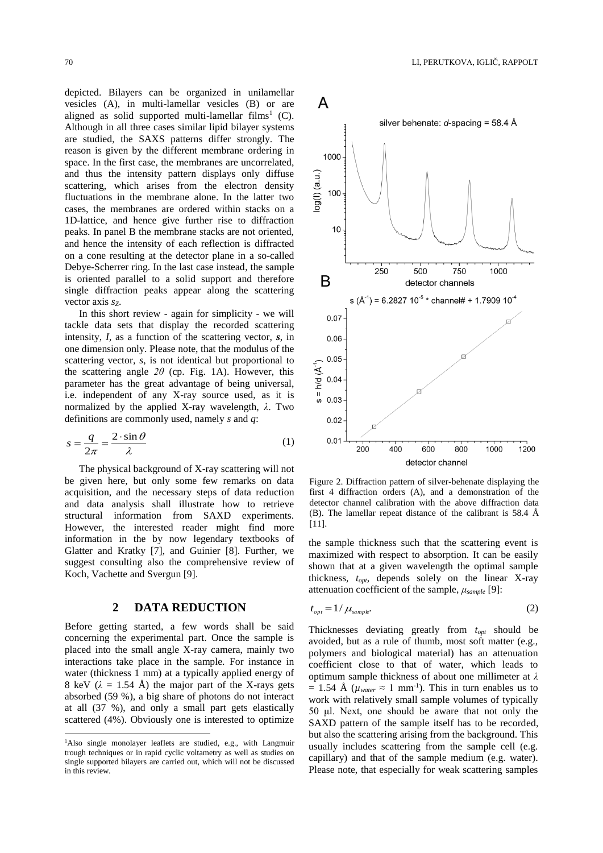depicted. Bilayers can be organized in unilamellar vesicles (A), in multi-lamellar vesicles (B) or are aligned as solid supported multi-lamellar films<sup>1</sup> (C). Although in all three cases similar lipid bilayer systems are studied, the SAXS patterns differ strongly. The reason is given by the different membrane ordering in space. In the first case, the membranes are uncorrelated, and thus the intensity pattern displays only diffuse scattering, which arises from the electron density fluctuations in the membrane alone. In the latter two cases, the membranes are ordered within stacks on a 1D-lattice, and hence give further rise to diffraction peaks. In panel B the membrane stacks are not oriented, and hence the intensity of each reflection is diffracted on a cone resulting at the detector plane in a so-called Debye-Scherrer ring. In the last case instead, the sample is oriented parallel to a solid support and therefore single diffraction peaks appear along the scattering vector axis *s*<sub>z</sub>.

In this short review - again for simplicity - we will tackle data sets that display the recorded scattering intensity, *I,* as a function of the scattering vector, *s*, in one dimension only. Please note, that the modulus of the scattering vector, *s*, is not identical but proportional to the scattering angle *2θ* (cp. Fig. 1A). However, this parameter has the great advantage of being universal, i.e. independent of any X-ray source used, as it is normalized by the applied X-ray wavelength, *λ*. Two definitions are commonly used, namely *s* and *q*:

$$
s = \frac{q}{2\pi} = \frac{2 \cdot \sin \theta}{\lambda} \tag{1}
$$

The physical background of X-ray scattering will not be given here, but only some few remarks on data acquisition, and the necessary steps of data reduction and data analysis shall illustrate how to retrieve structural information from SAXD experiments. However, the interested reader might find more information in the by now legendary textbooks of Glatter and Kratky [7], and Guinier [8]. Further, we suggest consulting also the comprehensive review of Koch, Vachette and Svergun [9].

#### **2 DATA REDUCTION**

Before getting started, a few words shall be said concerning the experimental part. Once the sample is placed into the small angle X-ray camera, mainly two interactions take place in the sample. For instance in water (thickness 1 mm) at a typically applied energy of 8 keV  $(\lambda = 1.54 \text{ Å})$  the major part of the X-rays gets absorbed (59 %), a big share of photons do not interact at all (37 %), and only a small part gets elastically scattered (4%). Obviously one is interested to optimize

 $\overline{a}$ 



Figure 2. Diffraction pattern of silver-behenate displaying the first 4 diffraction orders (A), and a demonstration of the detector channel calibration with the above diffraction data (B). The lamellar repeat distance of the calibrant is 58.4 Å [11].

the sample thickness such that the scattering event is maximized with respect to absorption. It can be easily shown that at a given wavelength the optimal sample thickness, *topt*, depends solely on the linear X-ray attenuation coefficient of the sample, *μsample* [9]:

$$
t_{opt} = 1/\mu_{sample}.\tag{2}
$$

Thicknesses deviating greatly from *topt* should be avoided, but as a rule of thumb, most soft matter (e.g., polymers and biological material) has an attenuation coefficient close to that of water, which leads to optimum sample thickness of about one millimeter at *λ*   $= 1.54$  Å ( $\mu_{water} \approx 1$  mm<sup>-1</sup>). This in turn enables us to work with relatively small sample volumes of typically 50 μl. Next, one should be aware that not only the SAXD pattern of the sample itself has to be recorded, but also the scattering arising from the background. This usually includes scattering from the sample cell (e.g. capillary) and that of the sample medium (e.g. water). Please note, that especially for weak scattering samples

<sup>&</sup>lt;sup>1</sup>Also single monolayer leaflets are studied, e.g., with Langmuir trough techniques or in rapid cyclic voltametry as well as studies on single supported bilayers are carried out, which will not be discussed in this review.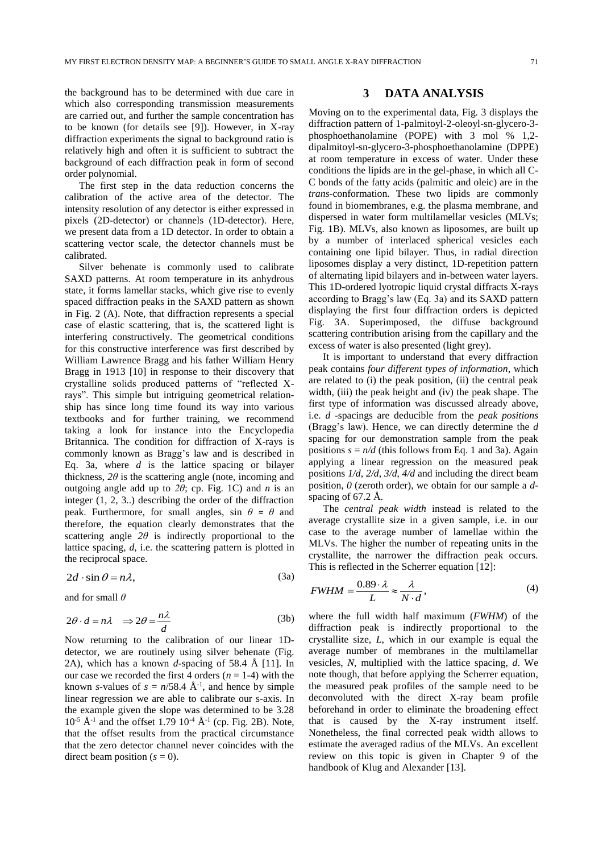the background has to be determined with due care in which also corresponding transmission measurements are carried out, and further the sample concentration has to be known (for details see [9]). However, in X-ray diffraction experiments the signal to background ratio is relatively high and often it is sufficient to subtract the background of each diffraction peak in form of second order polynomial.

The first step in the data reduction concerns the calibration of the active area of the detector. The intensity resolution of any detector is either expressed in pixels (2D-detector) or channels (1D-detector). Here, we present data from a 1D detector. In order to obtain a scattering vector scale, the detector channels must be calibrated.

Silver behenate is commonly used to calibrate SAXD patterns. At room temperature in its anhydrous state, it forms lamellar stacks, which give rise to evenly spaced diffraction peaks in the SAXD pattern as shown in Fig. 2 (A). Note, that diffraction represents a special case of elastic scattering, that is, the scattered light is interfering constructively. The geometrical conditions for this constructive interference was first described by William Lawrence Bragg and his father William Henry Bragg in 1913 [10] in response to their discovery that crystalline solids produced patterns of "reflected Xrays". This simple but intriguing geometrical relationship has since long time found its way into various textbooks and for further training, we recommend taking a look for instance into the Encyclopedia Britannica. The condition for diffraction of X-rays is commonly known as Bragg's law and is described in Eq. 3a, where *d* is the lattice spacing or bilayer thickness,  $2\theta$  is the scattering angle (note, incoming and outgoing angle add up to  $2\theta$ ; cp. Fig. 1C) and *n* is an integer (1, 2, 3..) describing the order of the diffraction peak. Furthermore, for small angles, sin  $\theta \approx \theta$  and therefore, the equation clearly demonstrates that the scattering angle  $2\theta$  is indirectly proportional to the lattice spacing, *d*, i.e. the scattering pattern is plotted in the reciprocal space.

$$
2d \cdot \sin \theta = n\lambda,
$$

and for small *θ*

$$
2\theta \cdot d = n\lambda \quad \Rightarrow 2\theta = \frac{n\lambda}{d} \tag{3b}
$$

(3a)

Now returning to the calibration of our linear 1Ddetector, we are routinely using silver behenate (Fig. 2A), which has a known *d-*spacing of 58.4 Å [11]. In our case we recorded the first 4 orders  $(n = 1-4)$  with the known *s*-values of  $s = n/58.4 \text{ Å}^{-1}$ , and hence by simple linear regression we are able to calibrate our s-axis. In the example given the slope was determined to be 3.28  $10^{-5}$  Å<sup>-1</sup> and the offset 1.79  $10^{-4}$  Å<sup>-1</sup> (cp. Fig. 2B). Note, that the offset results from the practical circumstance that the zero detector channel never coincides with the direct beam position  $(s = 0)$ .

#### **3 DATA ANALYSIS**

Moving on to the experimental data, Fig. 3 displays the diffraction pattern of 1-palmitoyl-2-oleoyl-sn-glycero-3 phosphoethanolamine (POPE) with 3 mol % 1,2 dipalmitoyl-sn-glycero-3-phosphoethanolamine (DPPE) at room temperature in excess of water. Under these conditions the lipids are in the gel-phase, in which all C-C bonds of the fatty acids (palmitic and oleic) are in the *trans*-conformation. These two lipids are commonly found in biomembranes, e.g. the plasma membrane, and dispersed in water form multilamellar vesicles (MLVs; Fig. 1B). MLVs, also known as liposomes, are built up by a number of interlaced spherical vesicles each containing one lipid bilayer. Thus, in radial direction liposomes display a very distinct, 1D-repetition pattern of alternating lipid bilayers and in-between water layers. This 1D-ordered lyotropic liquid crystal diffracts X-rays according to Bragg's law (Eq. 3a) and its SAXD pattern displaying the first four diffraction orders is depicted Fig. 3A. Superimposed, the diffuse background scattering contribution arising from the capillary and the excess of water is also presented (light grey).

It is important to understand that every diffraction peak contains *four different types of information*, which are related to (i) the peak position, (ii) the central peak width, (iii) the peak height and (iv) the peak shape. The first type of information was discussed already above, i.e. *d* -spacings are deducible from the *peak positions* (Bragg's law). Hence, we can directly determine the *d*  spacing for our demonstration sample from the peak positions  $s = n/d$  (this follows from Eq. 1 and 3a). Again applying a linear regression on the measured peak positions *1/d*, *2/d*, *3/d*, *4/d* and including the direct beam position, *0* (zeroth order), we obtain for our sample a *d*spacing of 67.2 Å.

The *central peak width* instead is related to the average crystallite size in a given sample, i.e. in our case to the average number of lamellae within the MLVs. The higher the number of repeating units in the crystallite, the narrower the diffraction peak occurs. This is reflected in the Scherrer equation [12]:

$$
FWHM = \frac{0.89 \cdot \lambda}{L} \approx \frac{\lambda}{N \cdot d},\tag{4}
$$

where the full width half maximum (*FWHM*) of the diffraction peak is indirectly proportional to the crystallite size, *L*, which in our example is equal the average number of membranes in the multilamellar vesicles, *N,* multiplied with the lattice spacing, *d*. We note though, that before applying the Scherrer equation, the measured peak profiles of the sample need to be deconvoluted with the direct X-ray beam profile beforehand in order to eliminate the broadening effect that is caused by the X-ray instrument itself. Nonetheless, the final corrected peak width allows to estimate the averaged radius of the MLVs. An excellent review on this topic is given in Chapter 9 of the handbook of Klug and Alexander [13].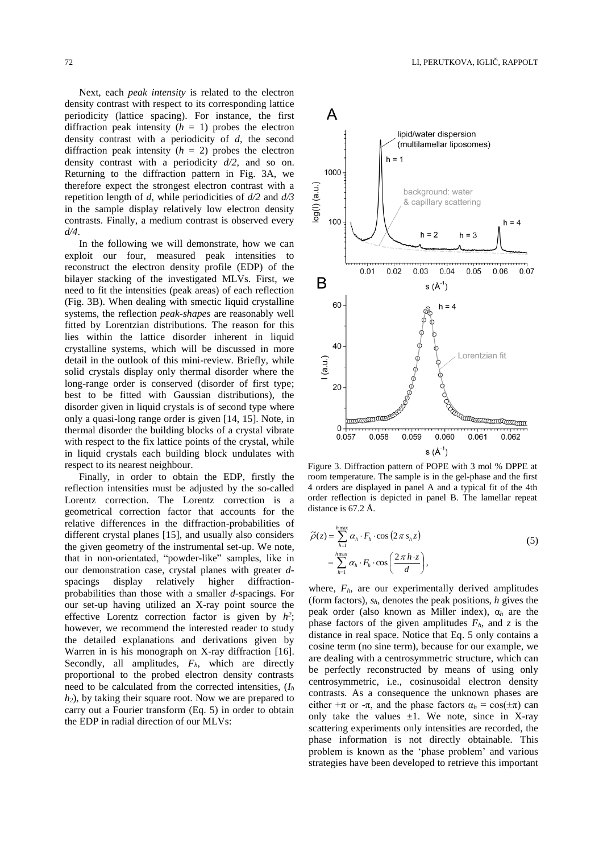Next, each *peak intensity* is related to the electron density contrast with respect to its corresponding lattice periodicity (lattice spacing). For instance, the first diffraction peak intensity  $(h = 1)$  probes the electron density contrast with a periodicity of *d*, the second diffraction peak intensity  $(h = 2)$  probes the electron density contrast with a periodicity *d/2*, and so on. Returning to the diffraction pattern in Fig. 3A, we therefore expect the strongest electron contrast with a repetition length of *d*, while periodicities of *d/2* and *d/3* in the sample display relatively low electron density contrasts. Finally, a medium contrast is observed every *d/4*.

In the following we will demonstrate, how we can exploit our four, measured peak intensities to reconstruct the electron density profile (EDP) of the bilayer stacking of the investigated MLVs. First, we need to fit the intensities (peak areas) of each reflection (Fig. 3B). When dealing with smectic liquid crystalline systems, the reflection *peak-shapes* are reasonably well fitted by Lorentzian distributions. The reason for this lies within the lattice disorder inherent in liquid crystalline systems, which will be discussed in more detail in the outlook of this mini-review. Briefly, while solid crystals display only thermal disorder where the long-range order is conserved (disorder of first type; best to be fitted with Gaussian distributions), the disorder given in liquid crystals is of second type where only a quasi-long range order is given [14, 15]. Note, in thermal disorder the building blocks of a crystal vibrate with respect to the fix lattice points of the crystal, while in liquid crystals each building block undulates with respect to its nearest neighbour.

Finally, in order to obtain the EDP, firstly the reflection intensities must be adjusted by the so-called Lorentz correction. The Lorentz correction is a geometrical correction factor that accounts for the relative differences in the diffraction-probabilities of different crystal planes [15], and usually also considers the given geometry of the instrumental set-up. We note, that in non-orientated, "powder-like" samples, like in our demonstration case, crystal planes with greater *d*spacings display relatively higher diffractionprobabilities than those with a smaller *d*-spacings. For our set-up having utilized an X-ray point source the effective Lorentz correction factor is given by  $h^2$ ; however, we recommend the interested reader to study the detailed explanations and derivations given by Warren in is his monograph on X-ray diffraction [16]. Secondly, all amplitudes,  $F_h$ , which are directly proportional to the probed electron density contrasts need to be calculated from the corrected intensities, (*I<sup>h</sup> h2*), by taking their square root. Now we are prepared to carry out a Fourier transform (Eq. 5) in order to obtain the EDP in radial direction of our MLVs:



Figure 3. Diffraction pattern of POPE with 3 mol % DPPE at room temperature. The sample is in the gel-phase and the first 4 orders are displayed in panel A and a typical fit of the 4th order reflection is depicted in panel B. The lamellar repeat distance is 67.2 Å.

$$
\widetilde{\rho}(z) = \sum_{h=1}^{h_{\text{max}}} \alpha_h \cdot F_h \cdot \cos\left(2\pi s_h z\right)
$$
\n
$$
= \sum_{h=1}^{h_{\text{max}}} \alpha_h \cdot F_h \cdot \cos\left(\frac{2\pi h \cdot z}{d}\right),
$$
\n(5)

where,  $F_h$ , are our experimentally derived amplitudes (form factors), *sh*, denotes the peak positions, *h* gives the peak order (also known as Miller index), α*<sup>h</sup>* are the phase factors of the given amplitudes *Fh*, and *z* is the distance in real space. Notice that Eq. 5 only contains a cosine term (no sine term), because for our example, we are dealing with a centrosymmetric structure, which can be perfectly reconstructed by means of using only centrosymmetric, i.e., cosinusoidal electron density contrasts. As a consequence the unknown phases are either  $+\pi$  or  $-\pi$ , and the phase factors  $\alpha_h = \cos(\pm \pi)$  can only take the values  $\pm 1$ . We note, since in X-ray scattering experiments only intensities are recorded, the phase information is not directly obtainable. This problem is known as the 'phase problem' and various strategies have been developed to retrieve this important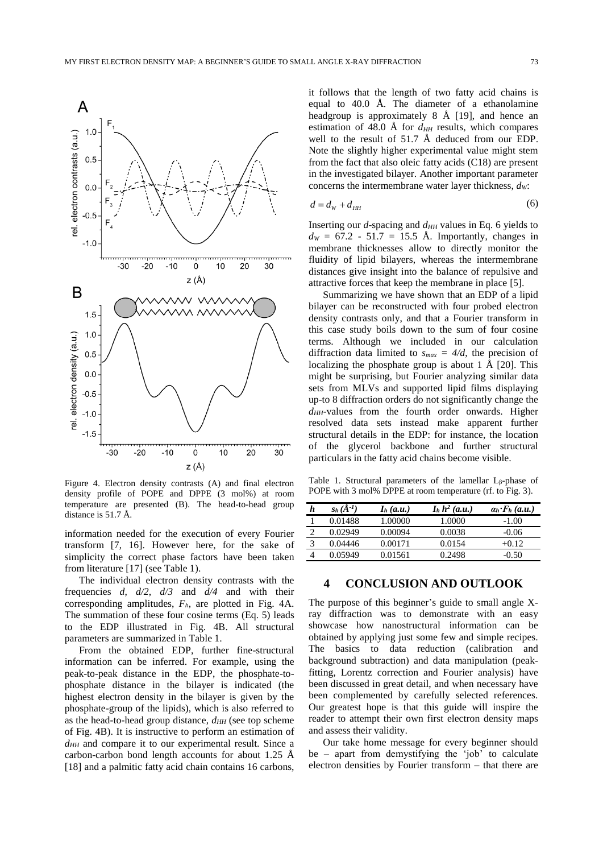

Figure 4. Electron density contrasts (A) and final electron density profile of POPE and DPPE (3 mol%) at room temperature are presented (B). The head-to-head group distance is 51.7 Å.

information needed for the execution of every Fourier transform [7, 16]. However here, for the sake of simplicity the correct phase factors have been taken from literature [17] (see Table 1).

The individual electron density contrasts with the frequencies *d*, *d/2*, *d/3* and *d/4* and with their corresponding amplitudes, *Fh*, are plotted in Fig. 4A. The summation of these four cosine terms (Eq. 5) leads to the EDP illustrated in Fig. 4B. All structural parameters are summarized in Table 1.

From the obtained EDP, further fine-structural information can be inferred. For example, using the peak-to-peak distance in the EDP, the phosphate-tophosphate distance in the bilayer is indicated (the highest electron density in the bilayer is given by the phosphate-group of the lipids), which is also referred to as the head-to-head group distance, *dHH* (see top scheme of Fig. 4B). It is instructive to perform an estimation of *dHH* and compare it to our experimental result. Since a carbon-carbon bond length accounts for about 1.25 Å [18] and a palmitic fatty acid chain contains 16 carbons, it follows that the length of two fatty acid chains is equal to 40.0 Å. The diameter of a ethanolamine headgroup is approximately 8 Å [19], and hence an estimation of 48.0 Å for  $d_{HH}$  results, which compares well to the result of 51.7 Å deduced from our EDP. Note the slightly higher experimental value might stem from the fact that also oleic fatty acids (C18) are present in the investigated bilayer. Another important parameter concerns the intermembrane water layer thickness, *dW*:

$$
d = d_w + d_{HH} \tag{6}
$$

Inserting our *d*-spacing and *dHH* values in Eq. 6 yields to  $d_{W} = 67.2 - 51.7 = 15.5$  Å. Importantly, changes in membrane thicknesses allow to directly monitor the fluidity of lipid bilayers, whereas the intermembrane distances give insight into the balance of repulsive and attractive forces that keep the membrane in place [5].

Summarizing we have shown that an EDP of a lipid bilayer can be reconstructed with four probed electron density contrasts only, and that a Fourier transform in this case study boils down to the sum of four cosine terms. Although we included in our calculation diffraction data limited to  $s_{max} = 4/d$ , the precision of localizing the phosphate group is about 1  $\AA$  [20]. This might be surprising, but Fourier analyzing similar data sets from MLVs and supported lipid films displaying up-to 8 diffraction orders do not significantly change the *dHH*-values from the fourth order onwards. Higher resolved data sets instead make apparent further structural details in the EDP: for instance, the location of the glycerol backbone and further structural particulars in the fatty acid chains become visible.

Table 1. Structural parameters of the lamellar L<sub>β</sub>-phase of POPE with 3 mol% DPPE at room temperature (rf. to Fig. 3).

| h | $s_h(\AA^{-1})$ | $Ih$ (a.u.) | $Ih h2$ (a.u.) | $a_h \cdot F_h$ (a.u.) |
|---|-----------------|-------------|----------------|------------------------|
|   | 0.01488         | 1.00000     | 1.0000         | $-1.00$                |
|   | 0.02949         | 0.00094     | 0.0038         | $-0.06$                |
| 3 | 0.04446         | 0.00171     | 0.0154         | $+0.12$                |
|   | 0.05949         | 0.01561     | 0.2498         | -0.50                  |

# **4 CONCLUSION AND OUTLOOK**

The purpose of this beginner's guide to small angle Xray diffraction was to demonstrate with an easy showcase how nanostructural information can be obtained by applying just some few and simple recipes. The basics to data reduction (calibration and background subtraction) and data manipulation (peakfitting, Lorentz correction and Fourier analysis) have been discussed in great detail, and when necessary have been complemented by carefully selected references. Our greatest hope is that this guide will inspire the reader to attempt their own first electron density maps and assess their validity.

Our take home message for every beginner should be – apart from demystifying the 'job' to calculate electron densities by Fourier transform – that there are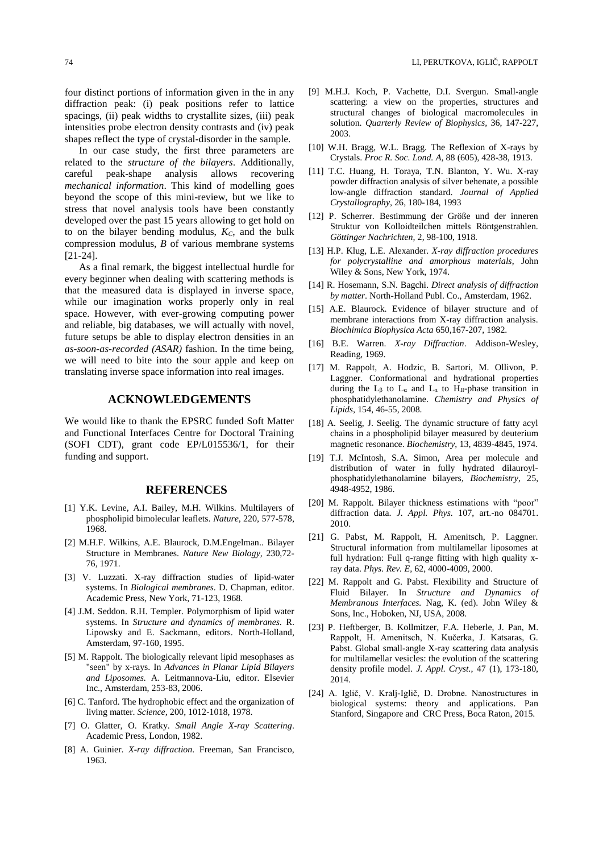four distinct portions of information given in the in any diffraction peak: (i) peak positions refer to lattice spacings, (ii) peak widths to crystallite sizes, (iii) peak intensities probe electron density contrasts and (iv) peak shapes reflect the type of crystal-disorder in the sample.

In our case study, the first three parameters are related to the *structure of the bilayers*. Additionally, careful peak-shape analysis allows recovering *mechanical information*. This kind of modelling goes beyond the scope of this mini-review, but we like to stress that novel analysis tools have been constantly developed over the past 15 years allowing to get hold on to on the bilayer bending modulus, *KC*, and the bulk compression modulus, *B* of various membrane systems [21-24].

As a final remark, the biggest intellectual hurdle for every beginner when dealing with scattering methods is that the measured data is displayed in inverse space, while our imagination works properly only in real space. However, with ever-growing computing power and reliable, big databases, we will actually with novel, future setups be able to display electron densities in an *as-soon-as-recorded (ASAR)* fashion. In the time being, we will need to bite into the sour apple and keep on translating inverse space information into real images.

#### **ACKNOWLEDGEMENTS**

We would like to thank the EPSRC funded Soft Matter and Functional Interfaces Centre for Doctoral Training (SOFI CDT), grant code EP/L015536/1, for their funding and support.

#### **REFERENCES**

- [1] Y.K. Levine, A.I. Bailey, M.H. Wilkins. Multilayers of phospholipid bimolecular leaflets. *Nature,* 220, 577-578, 1968.
- [2] M.H.F. Wilkins, A.E. Blaurock, D.M.Engelman.. Bilayer Structure in Membranes. *Nature New Biology,* 230,72- 76, 1971.
- [3] V. Luzzati. X-ray diffraction studies of lipid-water systems. In *Biological membranes*. D. Chapman, editor. Academic Press, New York, 71-123, 1968.
- [4] J.M. Seddon. R.H. Templer. Polymorphism of lipid water systems. In *Structure and dynamics of membranes.* R. Lipowsky and E. Sackmann, editors. North-Holland, Amsterdam, 97-160, 1995.
- [5] M. Rappolt. The biologically relevant lipid mesophases as "seen" by x-rays. In *Advances in Planar Lipid Bilayers and Liposomes.* A. Leitmannova-Liu, editor. Elsevier Inc., Amsterdam, 253-83, 2006.
- [6] C. Tanford. The hydrophobic effect and the organization of living matter. *Science,* 200, 1012-1018, 1978.
- [7] O. Glatter, O. Kratky. *Small Angle X-ray Scattering*. Academic Press, London, 1982.
- [8] A. Guinier. *X-ray diffraction*. Freeman, San Francisco, 1963.
- [9] M.H.J. Koch, P. Vachette, D.I. Svergun. Small-angle scattering: a view on the properties, structures and structural changes of biological macromolecules in solution. *Quarterly Review of Biophysics,* 36, 147-227, 2003.
- [10] W.H. Bragg, W.L. Bragg. The Reflexion of X-rays by Crystals. *Proc R. Soc. Lond. A*, 88 (605), 428-38, 1913.
- [11] T.C. Huang, H. Toraya, T.N. Blanton, Y. Wu. X-ray powder diffraction analysis of silver behenate, a possible low-angle diffraction standard. *Journal of Applied Crystallography,* 26, 180-184, 1993
- [12] P. Scherrer. Bestimmung der Größe und der inneren Struktur von Kolloidteilchen mittels Röntgenstrahlen. *Göttinger Nachrichten,* 2, 98-100, 1918.
- [13] H.P. Klug, L.E. Alexander. *X-ray diffraction procedures for polycrystalline and amorphous materials*, John Wiley & Sons, New York, 1974.
- [14] R. Hosemann, S.N. Bagchi. *Direct analysis of diffraction by matter*. North-Holland Publ. Co., Amsterdam, 1962.
- [15] A.E. Blaurock. Evidence of bilayer structure and of membrane interactions from X-ray diffraction analysis. *Biochimica Biophysica Acta* 650,167-207, 1982.
- [16] B.E. Warren. *X-ray Diffraction*. Addison-Wesley, Reading, 1969.
- [17] M. Rappolt, A. Hodzic, B. Sartori, M. Ollivon, P. Laggner. Conformational and hydrational properties during the  $L_{\beta}$  to  $L_{\alpha}$  and  $L_{\alpha}$  to H<sub>II</sub>-phase transition in phosphatidylethanolamine. *Chemistry and Physics of Lipids,* 154, 46-55, 2008.
- [18] A. Seelig, J. Seelig. The dynamic structure of fatty acyl chains in a phospholipid bilayer measured by deuterium magnetic resonance. *Biochemistry*, 13, 4839-4845, 1974.
- [19] T.J. McIntosh, S.A. Simon, Area per molecule and distribution of water in fully hydrated dilauroylphosphatidylethanolamine bilayers, *Biochemistry*, 25, 4948-4952, 1986.
- [20] M. Rappolt. Bilayer thickness estimations with "poor" diffraction data. *J. Appl. Phys.* 107, art.-no 084701. 2010.
- [21] G. Pabst, M. Rappolt, H. Amenitsch, P. Laggner. Structural information from multilamellar liposomes at full hydration: Full q-range fitting with high quality xray data. *Phys. Rev. E*, 62, 4000-4009, 2000.
- [22] M. Rappolt and G. Pabst. Flexibility and Structure of Fluid Bilayer. In *Structure and Dynamics of Membranous Interfaces.* Nag, K. (ed). John Wiley & Sons, Inc., Hoboken, NJ, USA, 2008.
- [23] P. Heftberger, B. Kollmitzer, F.A. Heberle, J. Pan, M. Rappolt, H. Amenitsch, N. Kučerka, J. Katsaras, G. Pabst. Global small-angle X-ray scattering data analysis for multilamellar vesicles: the evolution of the scattering density profile model. *J. Appl. Cryst.*, 47 (1), 173-180, 2014.
- [24] A. Iglič, V. Kralj-Iglič, D. Drobne. Nanostructures in biological systems: theory and applications. Pan Stanford, Singapore and CRC Press, Boca Raton, 2015.